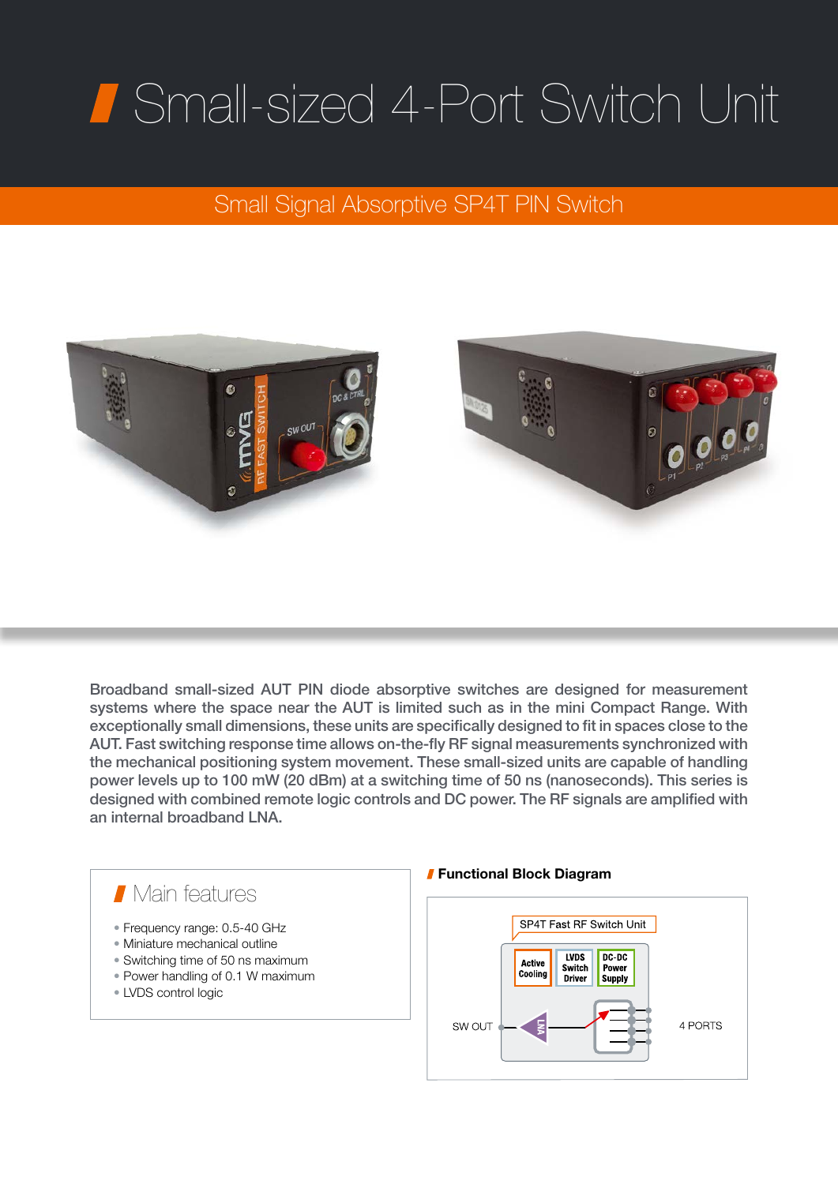## Small-sized 4-Port Switch Unit

## Small Signal Absorptive SP4T PIN Switch



Broadband small-sized AUT PIN diode absorptive switches are designed for measurement systems where the space near the AUT is limited such as in the mini Compact Range. With exceptionally small dimensions, these units are specifically designed to fit in spaces close to the AUT. Fast switching response time allows on-the-fly RF signal measurements synchronized with the mechanical positioning system movement. These small-sized units are capable of handling power levels up to 100 mW (20 dBm) at a switching time of 50 ns (nanoseconds). This series is designed with combined remote logic controls and DC power. The RF signals are amplified with an internal broadband LNA.